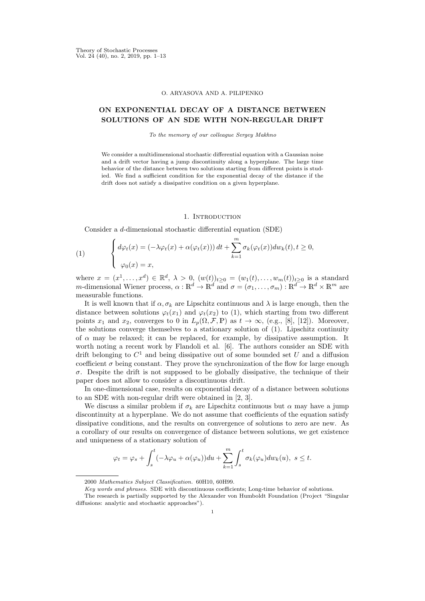#### O. ARYASOVA AND A. PILIPENKO

# ON EXPONENTIAL DECAY OF A DISTANCE BETWEEN SOLUTIONS OF AN SDE WITH NON-REGULAR DRIFT

To the memory of our colleague Sergey Makhno

We consider a multidimensional stochastic differential equation with a Gaussian noise and a drift vector having a jump discontinuity along a hyperplane. The large time behavior of the distance between two solutions starting from different points is studied. We find a sufficient condition for the exponential decay of the distance if the drift does not satisfy a dissipative condition on a given hyperplane.

### 1. INTRODUCTION

Consider a d-dimensional stochastic differential equation (SDE)

(1) 
$$
\begin{cases} d\varphi_t(x) = (-\lambda \varphi_t(x) + \alpha(\varphi_t(x))) dt + \sum_{k=1}^m \sigma_k(\varphi_t(x)) dw_k(t), t \ge 0, \\ \varphi_0(x) = x, \end{cases}
$$

where  $x = (x^1, ..., x^d) \in \mathbb{R}^d$ ,  $\lambda > 0$ ,  $(w(t))_{t \geq 0} = (w_1(t), ..., w_m(t))_{t \geq 0}$  is a standard m-dimensional Wiener process,  $\alpha : \mathbb{R}^d \to \mathbb{R}^d$  and  $\sigma = (\sigma_1, \dots, \sigma_m) : \mathbb{R}^d \to \mathbb{R}^d \times \mathbb{R}^m$  are measurable functions.

It is well known that if  $\alpha, \sigma_k$  are Lipschitz continuous and  $\lambda$  is large enough, then the distance between solutions  $\varphi_t(x_1)$  and  $\varphi_t(x_2)$  to (1), which starting from two different points  $x_1$  and  $x_2$ , converges to 0 in  $L_p(\Omega, \mathcal{F}, \mathbb{P})$  as  $t \to \infty$ , (e.g., [8], [12]). Moreover, the solutions converge themselves to a stationary solution of (1). Lipschitz continuity of  $\alpha$  may be relaxed; it can be replaced, for example, by dissipative assumption. It worth noting a recent work by Flandoli et al. [6]. The authors consider an SDE with drift belonging to  $C^1$  and being dissipative out of some bounded set U and a diffusion coefficient  $\sigma$  being constant. They prove the synchronization of the flow for large enough  $\sigma$ . Despite the drift is not supposed to be globally dissipative, the technique of their paper does not allow to consider a discontinuous drift.

In one-dimensional case, results on exponential decay of a distance between solutions to an SDE with non-regular drift were obtained in [2, 3].

We discuss a similar problem if  $\sigma_k$  are Lipschitz continuous but  $\alpha$  may have a jump discontinuity at a hyperplane. We do not assume that coefficients of the equation satisfy dissipative conditions, and the results on convergence of solutions to zero are new. As a corollary of our results on convergence of distance between solutions, we get existence and uniqueness of a stationary solution of

$$
\varphi_t = \varphi_s + \int_s^t (-\lambda \varphi_u + \alpha(\varphi_u)) du + \sum_{k=1}^m \int_s^t \sigma_k(\varphi_u) dw_k(u), \ s \le t.
$$

<sup>2000</sup> Mathematics Subject Classification. 60H10, 60H99.

Key words and phrases. SDE with discontinuous coefficients; Long-time behavior of solutions.

The research is partially supported by the Alexander von Humboldt Foundation (Project "Singular diffusions: analytic and stochastic approaches").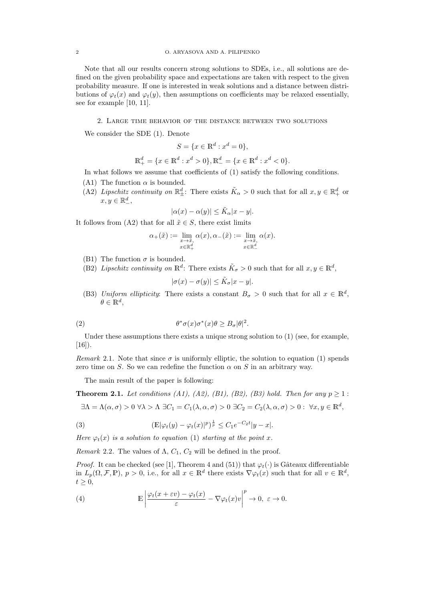Note that all our results concern strong solutions to SDEs, i.e., all solutions are defined on the given probability space and expectations are taken with respect to the given probability measure. If one is interested in weak solutions and a distance between distributions of  $\varphi_t(x)$  and  $\varphi_t(y)$ , then assumptions on coefficients may be relaxed essentially, see for example [10, 11].

2. Large time behavior of the distance between two solutions

We consider the SDE (1). Denote

$$
S = \{x \in \mathbb{R}^d : x^d = 0\},\
$$

$$
\mathbb{R}^{d}_{+} = \{x \in \mathbb{R}^{d} : x^{d} > 0\}, \mathbb{R}^{d}_{-} = \{x \in \mathbb{R}^{d} : x^{d} < 0\}.
$$

In what follows we assume that coefficients of (1) satisfy the following conditions.

- (A1) The function  $\alpha$  is bounded.
- (A2) Lipschitz continuity on  $\mathbb{R}^d_\pm$ : There exists  $\tilde{K}_\alpha > 0$  such that for all  $x, y \in \mathbb{R}^d_+$  or  $x, y \in \mathbb{R}^d_-,$

$$
|\alpha(x) - \alpha(y)| \le \tilde{K}_{\alpha}|x - y|.
$$

It follows from (A2) that for all  $\tilde{x} \in S$ , there exist limits

$$
\alpha_+(\tilde{x}):=\lim_{\substack{x\to\tilde{x},\\x\in\mathbb{R}_+^d}}\alpha(x),\alpha_-(\tilde{x}):=\lim_{\substack{x\to\tilde{x},\\x\in\mathbb{R}_-^d}}\alpha(x).
$$

- (B1) The function  $\sigma$  is bounded.
- (B2) Lipschitz continuity on  $\mathbb{R}^d$ : There exists  $\tilde{K}_{\sigma} > 0$  such that for all  $x, y \in \mathbb{R}^d$ ,

$$
|\sigma(x) - \sigma(y)| \le \tilde{K}_{\sigma}|x - y|.
$$

(B3) Uniform ellipticity: There exists a constant  $B_{\sigma} > 0$  such that for all  $x \in \mathbb{R}^d$ ,  $\theta \in \mathbb{R}^d$ ,

(2) 
$$
\theta^* \sigma(x) \sigma^*(x) \theta \geq B_{\sigma} |\theta|^2.
$$

Under these assumptions there exists a unique strong solution to  $(1)$  (see, for example,  $[16]$ ).

Remark 2.1. Note that since  $\sigma$  is uniformly elliptic, the solution to equation (1) spends zero time on S. So we can redefine the function  $\alpha$  on S in an arbitrary way.

The main result of the paper is following:

**Theorem 2.1.** Let conditions (A1), (A2), (B1), (B2), (B3) hold. Then for any  $p \ge 1$ :

$$
\exists \Lambda = \Lambda(\alpha, \sigma) > 0 \ \forall \lambda > \Lambda \ \exists C_1 = C_1(\lambda, \alpha, \sigma) > 0 \ \exists C_2 = C_2(\lambda, \alpha, \sigma) > 0 : \ \forall x, y \in \mathbb{R}^d,
$$

(3) 
$$
(\mathbb{E}|\varphi_t(y) - \varphi_t(x)|^p)^{\frac{1}{p}} \leq C_1 e^{-C_2 t} |y - x|.
$$

Here  $\varphi_t(x)$  is a solution to equation (1) starting at the point x.

Remark 2.2. The values of  $\Lambda$ ,  $C_1$ ,  $C_2$  will be defined in the proof.

*Proof.* It can be checked (see [1], Theorem 4 and (51)) that  $\varphi_t(\cdot)$  is Gâteaux differentiable in  $L_p(\Omega, \mathcal{F}, \mathbb{P})$ ,  $p > 0$ , i.e., for all  $x \in \mathbb{R}^d$  there exists  $\nabla \varphi_t(x)$  such that for all  $v \in \mathbb{R}^d$ ,  $t \geq 0$ ,

(4) 
$$
\mathbb{E}\left|\frac{\varphi_t(x+\varepsilon v)-\varphi_t(x)}{\varepsilon}-\nabla\varphi_t(x)v\right|^p\to 0, \ \varepsilon\to 0.
$$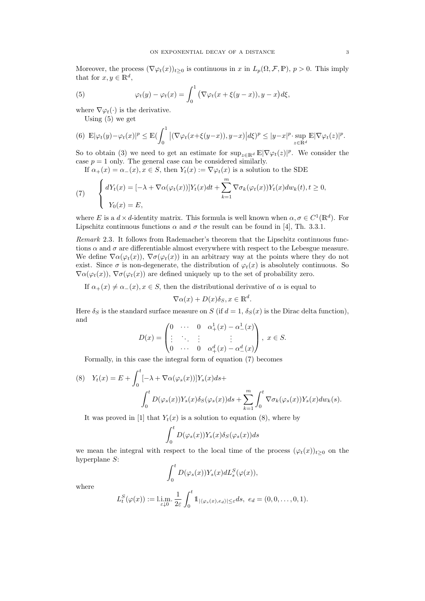Moreover, the process  $(\nabla \varphi_t(x))_{t\geq 0}$  is continuous in x in  $L_p(\Omega, \mathcal{F}, \mathbb{P})$ ,  $p > 0$ . This imply that for  $x, y \in \mathbb{R}^d$ ,

(5) 
$$
\varphi_t(y) - \varphi_t(x) = \int_0^1 (\nabla \varphi_t(x + \xi(y - x)), y - x) d\xi,
$$

where  $\nabla \varphi_t(\cdot)$  is the derivative.

Using (5) we get

$$
(6) \ \mathbb{E}|\varphi_t(y) - \varphi_t(x)|^p \leq \mathbb{E}(\int_0^1 |(\nabla \varphi_t(x+\xi(y-x)), y-x)|d\xi)^p \leq |y-x|^p \cdot \sup_{z \in \mathbb{R}^d} \mathbb{E}|\nabla \varphi_t(z)|^p.
$$

So to obtain (3) we need to get an estimate for  $\sup_{z\in\mathbb{R}^d} \mathbb{E}|\nabla\varphi_t(z)|^p$ . We consider the case  $p = 1$  only. The general case can be considered similarly.

If  $\alpha_+(x) = \alpha_-(x)$ ,  $x \in S$ , then  $Y_t(x) := \nabla \varphi_t(x)$  is a solution to the SDE

(7) 
$$
\begin{cases} dY_t(x) = [-\lambda + \nabla \alpha(\varphi_t(x))]Y_t(x)dt + \sum_{k=1}^m \nabla \sigma_k(\varphi_t(x))Y_t(x)dw_k(t), t \ge 0, \\ Y_0(x) = E, \end{cases}
$$

where E is a  $d \times d$ -identity matrix. This formula is well known when  $\alpha, \sigma \in C^1(\mathbb{R}^d)$ . For Lipschitz continuous functions  $\alpha$  and  $\sigma$  the result can be found in [4], Th. 3.3.1.

Remark 2.3. It follows from Rademacher's theorem that the Lipschitz continuous functions  $\alpha$  and  $\sigma$  are differentiable almost everywhere with respect to the Lebesgue measure. We define  $\nabla \alpha(\varphi_t(x))$ ,  $\nabla \sigma(\varphi_t(x))$  in an arbitrary way at the points where they do not exist. Since  $\sigma$  is non-degenerate, the distribution of  $\varphi_t(x)$  is absolutely continuous. So  $\nabla \alpha(\varphi_t(x))$ ,  $\nabla \sigma(\varphi_t(x))$  are defined uniquely up to the set of probability zero.

If  $\alpha_+(x) \neq \alpha_-(x)$ ,  $x \in S$ , then the distributional derivative of  $\alpha$  is equal to

$$
\nabla \alpha(x) + D(x)\delta_S, x \in \mathbb{R}^d
$$

.

Here  $\delta_S$  is the standard surface measure on S (if  $d = 1$ ,  $\delta_S(x)$  is the Dirac delta function), and

$$
D(x) = \begin{pmatrix} 0 & \cdots & 0 & \alpha_+^1(x) - \alpha_-^1(x) \\ \vdots & \ddots & \vdots & \vdots \\ 0 & \cdots & 0 & \alpha_+^d(x) - \alpha_-^d(x) \end{pmatrix}, x \in S.
$$

Formally, in this case the integral form of equation (7) becomes

(8) 
$$
Y_t(x) = E + \int_0^t [-\lambda + \nabla \alpha(\varphi_s(x))] Y_s(x) ds + \int_0^t D(\varphi_s(x)) Y_s(x) \delta_S(\varphi_s(x)) ds + \sum_{k=1}^m \int_0^t \nabla \sigma_k(\varphi_s(x)) Y_s(x) dw_k(s).
$$

It was proved in [1] that  $Y_t(x)$  is a solution to equation (8), where by

$$
\int_0^t D(\varphi_s(x))Y_s(x)\delta_S(\varphi_s(x))ds
$$

we mean the integral with respect to the local time of the process  $(\varphi_t(x))_{t>0}$  on the hyperplane S:

$$
\int_0^t D(\varphi_s(x))Y_s(x) dL_s^S(\varphi(x)),
$$

where

$$
L_t^S(\varphi(x)) := \lim_{\varepsilon \downarrow 0} \frac{1}{2\varepsilon} \int_0^t \mathbb{1}_{|\langle \varphi_s(x), e_d \rangle| \leq \varepsilon} ds, \ e_d = (0, 0, \dots, 0, 1).
$$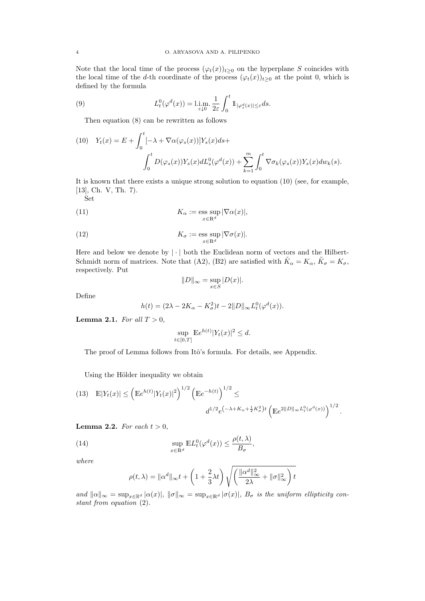Note that the local time of the process  $(\varphi_t(x))_{t\geq 0}$  on the hyperplane S coincides with the local time of the d-th coordinate of the process  $(\varphi_t(x))_{t\geq 0}$  at the point 0, which is defined by the formula

(9) 
$$
L_t^0(\varphi^d(x)) = \lim_{\varepsilon \downarrow 0} \frac{1}{2\varepsilon} \int_0^t \mathbb{1}_{|\varphi_s^d(x)| \le \varepsilon} ds.
$$

Then equation (8) can be rewritten as follows

(10) 
$$
Y_t(x) = E + \int_0^t \left[ -\lambda + \nabla \alpha(\varphi_s(x)) \right] Y_s(x) ds + \int_0^t D(\varphi_s(x)) Y_s(x) dL_s^0(\varphi^d(x)) + \sum_{k=1}^m \int_0^t \nabla \sigma_k(\varphi_s(x)) Y_s(x) dw_k(s).
$$

It is known that there exists a unique strong solution to equation (10) (see, for example, [13], Ch. V, Th. 7). Set

(11) 
$$
K_{\alpha} := \operatorname*{\mathrm{ess\ sup}}_{x \in \mathbb{R}^d} |\nabla \alpha(x)|,
$$

(12) 
$$
K_{\sigma} := \operatorname*{\mathrm{ess\ sup}}_{x \in \mathbb{R}^d} |\nabla \sigma(x)|.
$$

Here and below we denote by  $|\cdot|$  both the Euclidean norm of vectors and the Hilbert-Schmidt norm of matrices. Note that (A2), (B2) are satisfied with  $\tilde{K}_{\alpha} = K_{\alpha}, \tilde{K}_{\sigma} = K_{\sigma}$ , respectively. Put

$$
||D||_{\infty} = \sup_{x \in S} |D(x)|.
$$

Define

$$
h(t) = (2\lambda - 2K_{\alpha} - K_{\sigma}^{2})t - 2||D||_{\infty}L_{t}^{0}(\varphi^{d}(x)).
$$

**Lemma 2.1.** For all  $T > 0$ ,

$$
\sup_{t \in [0,T]} \mathbb{E}e^{h(t)}|Y_t(x)|^2 \le d.
$$

The proof of Lemma follows from Itô's formula. For details, see Appendix.

Using the Hölder inequality we obtain

(13) 
$$
\mathbb{E}|Y_t(x)| \leq \left(\mathbb{E}e^{h(t)}|Y_t(x)|^2\right)^{1/2} \left(\mathbb{E}e^{-h(t)}\right)^{1/2} \leq
$$

$$
d^{1/2}e^{(-\lambda + K_{\alpha} + \frac{1}{2}K_{\sigma}^2)t} \left(\mathbb{E}e^{2\|D\|_{\infty}L_t^0(\varphi^d(x))}\right)^{1/2}.
$$

**Lemma 2.2.** For each  $t > 0$ ,

(14) 
$$
\sup_{x \in \mathbb{R}^d} \mathbb{E} L_t^0(\varphi^d(x)) \le \frac{\rho(t, \lambda)}{B_\sigma},
$$

where

$$
\rho(t,\lambda) = \|\alpha^d\|_{\infty} t + \left(1 + \frac{2}{3}\lambda t\right) \sqrt{\left(\frac{\|\alpha^d\|_{\infty}^2}{2\lambda} + \|\sigma\|_{\infty}^2\right)t}
$$

and  $\|\alpha\|_{\infty} = \sup_{x \in \mathbb{R}^d} |\alpha(x)|$ ,  $\|\sigma\|_{\infty} = \sup_{x \in \mathbb{R}^d} |\sigma(x)|$ ,  $B_{\sigma}$  is the uniform ellipticity constant from equation (2).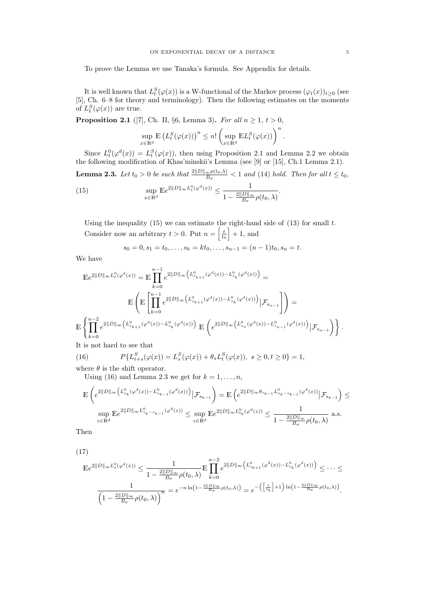To prove the Lemma we use Tanaka's formula. See Appendix for details.

It is well known that  $L_t^S(\varphi(x))$  is a W-functional of the Markov process  $(\varphi_t(x))_{t\geq0}$  (see [5], Ch. 6–8 for theory and terminology). Then the following estimates on the moments of  $L_t^S(\varphi(x))$  are true.

**Proposition 2.1** ([7], Ch. II, §6, Lemma 3). For all  $n \geq 1$ ,  $t > 0$ ,

$$
\sup_{x \in \mathbb{R}^d} \mathbb{E} \left( L_t^S(\varphi(x)) \right)^n \leq n! \left( \sup_{x \in \mathbb{R}^d} \mathbb{E} L_t^S(\varphi(x)) \right)^n.
$$

Since  $L_t^0(\varphi^d(x)) = L_t^S(\varphi(x))$ , then using Proposition 2.1 and Lemma 2.2 we obtain the following modification of Khas'minskii's Lemma (see [9] or [15], Ch.1 Lemma 2.1). **Lemma 2.3.** Let  $t_0 > 0$  be such that  $\frac{2||D||_{\infty}\rho(t_0,\lambda)}{B_{\sigma}} < 1$  and (14) hold. Then for all  $t \leq t_0$ , (15) sup  $x \in \mathbb{R}^d$  $\mathbb{E}e^{2||D||_{\infty}L_t^0(\varphi^d(x))} \leq \frac{1}{\sqrt{2||D||}}$  $1-\frac{2\|D\|_{\infty}}{B}$  $\frac{D\|\infty}{B_\sigma}\rho(t_0,\lambda)$ .

Using the inequality (15) we can estimate the right-hand side of (13) for small  $t$ . Consider now an arbitrary  $t > 0$ . Put  $n = \left[\frac{t}{t_0}\right] + 1$ , and

$$
s_0 = 0, s_1 = t_0, \ldots, s_k = kt_0, \ldots, s_{n-1} = (n-1)t_0, s_n = t.
$$

We have

$$
\label{eq:3.16} \begin{split} \mathbb{E} e^{2\|D\|_\infty L^0_t(\varphi^d(x))} &= \mathbb{E} \prod_{k=0}^{n-1} e^{2\|D\|_\infty \left( L^0_{s_{k+1}}(\varphi^d(x))-L^0_{s_k}(\varphi^d(x)) \right)} = \\ & \mathbb{E} \left( \mathbb{E} \left[ \prod_{k=0}^{n-1} e^{2\|D\|_\infty \left( L^0_{s_{k+1}}(\varphi^d(x))-L^0_{s_k}(\varphi^d(x)) \right) } \big| \mathcal{F}_{s_{n-1}} \right] \right) = \\ & \mathbb{E} \left\{ \prod_{k=0}^{n-2} e^{2\|D\|_\infty \left( L^0_{s_{k+1}}(\varphi^d(x))-L^0_{s_k}(\varphi^d(x)) \right) } \mathbb{E} \left( e^{2\|D\|_\infty \left( L^0_{s_n}(\varphi^d(x))-L^0_{s_{n-1}}(\varphi^d(x)) \right) } \big| \mathcal{F}_{s_{n-1}} \right) \right\}. \end{split}
$$

It is not hard to see that

(16) 
$$
P\{L_{t+s}^S(\varphi(x)) = L_s^S(\varphi(x)) + \theta_s L_t^S(\varphi(x)), \ s \ge 0, t \ge 0\} = 1,
$$

where  $\theta$  is the shift operator.

Using (16) and Lemma 2.3 we get for  $k = 1, \ldots, n$ ,

$$
\begin{split} \mathbb{E}\left(e^{2\lVert D\rVert_{\infty}\left(L^0_{s_k}(\varphi^d(x))-L^0_{s_{k-1}}(\varphi^d(x))\right)}\big| \mathcal{F}_{s_{k-1}}\right)&=\mathbb{E}\left(e^{2\lVert D\rVert_{\infty}\theta_{s_{k-1}}L^0_{s_k-s_{k-1}}(\varphi^d(x))}\big| \mathcal{F}_{s_{k-1}}\right)\leq\\ \sup_{z\in\mathbb{R}^d}\mathbb{E} e^{2\lVert D\rVert_{\infty}L^0_{s_k-s_{k-1}}(\varphi^d(z))}\leq \sup_{z\in\mathbb{R}^d}\mathbb{E} e^{2\lVert D\rVert_{\infty}L^0_{t_0}(\varphi^d(z))}\leq \frac{1}{1-\frac{2\lVert D\rVert_{\infty}}{B_\sigma}\rho(t_0,\lambda)}\text{ a.s.}\end{split}
$$

Then

(17)

$$
\begin{split} \mathbb{E}e^{2\|D\|_\infty L^0_t(\varphi^d(x))} &\leq \frac{1}{1-\frac{2\|D\|_\infty}{B_\sigma}\rho(t_0,\lambda)}\mathbb{E}\prod_{k=0}^{n-2}e^{2\|D\|_\infty\left(L^0_{s_{k+1}}(\varphi^d(x))-L^0_{s_k}(\varphi^d(x))\right)}\leq \cdots\leq\\ &\frac{1}{\left(1-\frac{2\|D\|_\infty}{B_\sigma}\rho(t_0,\lambda)\right)^n}=e^{-n\ln\left(1-\frac{2\|D\|_\infty}{B_\sigma}\rho(t_0,\lambda)\right)}=e^{-\left(\left[\frac{t}{t_0}\right]+1\right)\ln\left(1-\frac{2\|D\|_\infty}{B_\sigma}\rho(t_0,\lambda)\right)}. \end{split}
$$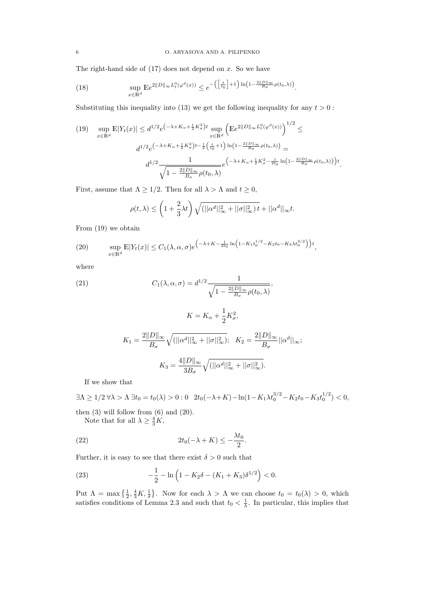The right-hand side of  $(17)$  does not depend on x. So we have

(18) 
$$
\sup_{x \in \mathbb{R}^d} \mathbb{E}e^{2\|D\|_{\infty}L_t^0(\varphi^d(x))} \leq e^{-\left(\left[\frac{t}{t_0}\right]+1\right)\ln\left(1-\frac{2\|D\|_{\infty}}{B_{\sigma}}\rho(t_0,\lambda)\right)}.
$$

Substituting this inequality into (13) we get the following inequality for any  $t > 0$ :

$$
(19) \quad \sup_{x \in \mathbb{R}^d} \mathbb{E}|Y_t(x)| \leq d^{1/2} e^{\left(-\lambda + K_\alpha + \frac{1}{2}K_\sigma^2\right)t} \sup_{x \in \mathbb{R}^d} \left(\mathbb{E}e^{2\|D\|_\infty L_t^0(\varphi^d(x))}\right)^{1/2} \leq
$$
\n
$$
d^{1/2} e^{\left(-\lambda + K_\alpha + \frac{1}{2}K_\sigma^2\right)t - \frac{1}{2}\left(\frac{t}{t_0} + 1\right)\ln\left(1 - \frac{2\|D\|_\infty}{B_\sigma}\rho(t_0, \lambda)\right)} =
$$
\n
$$
d^{1/2} \frac{1}{\sqrt{1 - \frac{2\|D\|_\infty}{B_\sigma}\rho(t_0, \lambda)}} e^{\left(-\lambda + K_\alpha + \frac{1}{2}K_\sigma^2 - \frac{1}{2t_0}\ln\left(1 - \frac{2\|D\|_\infty}{B_\sigma}\rho(t_0, \lambda)\right)\right)t}.
$$

First, assume that  $\Lambda \geq 1/2$ . Then for all  $\lambda > \Lambda$  and  $t \geq 0$ ,

$$
\rho(t,\lambda) \le \left(1 + \frac{2}{3}\lambda t\right) \sqrt{(||\alpha^d||^2_{\infty} + ||\sigma||^2_{\infty}) t} + ||\alpha^d||_{\infty} t.
$$

From (19) we obtain

(20) 
$$
\sup_{x \in \mathbb{R}^d} \mathbb{E}|Y_t(x)| \leq C_1(\lambda, \alpha, \sigma) e^{-\lambda + K - \frac{1}{2t_0} \ln\left(1 - K_1 t_0^{1/2} - K_2 t_0 - K_3 \lambda t_0^{3/2}\right)t},
$$

where

(21) 
$$
C_1(\lambda, \alpha, \sigma) = d^{1/2} \frac{1}{\sqrt{1 - \frac{2||D||_{\infty}}{B_{\sigma}} \rho(t_0, \lambda)}},
$$

$$
K = K_{\alpha} + \frac{1}{2} K_{\sigma}^{2},
$$
  

$$
K_{1} = \frac{2||D||_{\infty}}{B_{\sigma}} \sqrt{(||\alpha^{d}||_{\infty}^{2} + ||\sigma||_{\infty}^{2})}; \quad K_{2} = \frac{2||D||_{\infty}}{B_{\sigma}} ||\alpha^{d}||_{\infty};
$$
  

$$
K_{3} = \frac{4||D||_{\infty}}{3B_{\sigma}} \sqrt{(||\alpha^{d}||_{\infty}^{2} + ||\sigma||_{\infty}^{2})}.
$$

If we show that

$$
\exists \Lambda \ge 1/2 \,\forall \lambda > \Lambda \,\exists t_0 = t_0(\lambda) > 0 : 0 \quad 2t_0(-\lambda + K) - \ln(1 - K_1 \lambda t_0^{3/2} - K_2 t_0 - K_3 t_0^{1/2}) < 0,
$$

then  $(3)$  will follow from  $(6)$  and  $(20)$ . Note that for all  $\lambda \geq \frac{4}{3}K$ ,

$$
\frac{1}{2}
$$

(22) 
$$
2t_0(-\lambda + K) \leq -\frac{\lambda t_0}{2}.
$$

Further, it is easy to see that there exist  $\delta > 0$  such that

(23) 
$$
-\frac{1}{2} - \ln\left(1 - K_2\delta - (K_1 + K_3)\delta^{1/2}\right) < 0.
$$

Put  $\Lambda = \max\left\{\frac{1}{2}, \frac{4}{3}K, \frac{1}{\delta}\right\}$ . Now for each  $\lambda > \Lambda$  we can choose  $t_0 = t_0(\lambda) > 0$ , which satisfies conditions of Lemma 2.3 and such that  $t_0 < \frac{1}{\lambda}$ . In particular, this implies that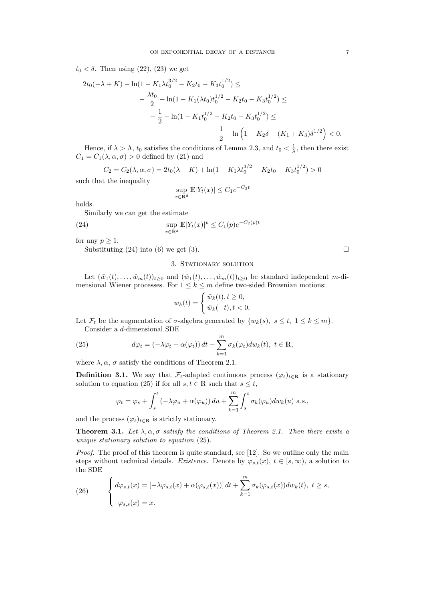$t_0 < \delta$ . Then using (22), (23) we get

$$
2t_0(-\lambda + K) - \ln(1 - K_1 \lambda t_0^{3/2} - K_2 t_0 - K_3 t_0^{1/2}) \le
$$
  

$$
- \frac{\lambda t_0}{2} - \ln(1 - K_1(\lambda t_0) t_0^{1/2} - K_2 t_0 - K_3 t_0^{1/2}) \le
$$
  

$$
- \frac{1}{2} - \ln(1 - K_1 t_0^{1/2} - K_2 t_0 - K_3 t_0^{1/2}) \le
$$
  

$$
- \frac{1}{2} - \ln(1 - K_2 \delta - (K_1 + K_3) \delta^{1/2}) < 0.
$$

Hence, if  $\lambda > \Lambda$ ,  $t_0$  satisfies the conditions of Lemma 2.3, and  $t_0 < \frac{1}{\lambda}$ , then there exist  $C_1 = C_1(\lambda, \alpha, \sigma) > 0$  defined by (21) and

$$
C_2 = C_2(\lambda, \alpha, \sigma) = 2t_0(\lambda - K) + \ln(1 - K_1 \lambda t_0^{3/2} - K_2 t_0 - K_3 t_0^{1/2}) > 0
$$

such that the inequality

$$
\sup_{x \in \mathbb{R}^d} \mathbb{E}|Y_t(x)| \le C_1 e^{-C_2 t}
$$

holds.

Similarly we can get the estimate

(24) 
$$
\sup_{x \in \mathbb{R}^d} \mathbb{E} |Y_t(x)|^p \le C_1(p) e^{-C_2(p)t}
$$

for any  $p \geq 1$ .

Substituting (24) into (6) we get (3).

### 3. STATIONARY SOLUTION

Let  $(\tilde{w}_1(t), \ldots, \tilde{w}_m(t))_{t>0}$  and  $(\hat{w}_1(t), \ldots, \hat{w}_m(t))_{t>0}$  be standard independent m-dimensional Wiener processes. For  $1 \leq k \leq m$  define two-sided Brownian motions:

$$
w_k(t) = \begin{cases} \tilde{w}_k(t), t \ge 0, \\ \hat{w}_k(-t), t < 0. \end{cases}
$$

Let  $\mathcal{F}_t$  be the augmentation of  $\sigma$ -algebra generated by  $\{w_k(s), s \leq t, 1 \leq k \leq m\}$ . Consider a d-dimensional SDE

(25) 
$$
d\varphi_t = \left(-\lambda\varphi_t + \alpha(\varphi_t)\right)dt + \sum_{k=1}^m \sigma_k(\varphi_t)dw_k(t), \ t \in \mathbb{R},
$$

where  $\lambda, \alpha, \sigma$  satisfy the conditions of Theorem 2.1.

**Definition 3.1.** We say that  $\mathcal{F}_t$ -adapted continuous process  $(\varphi_t)_{t \in \mathbb{R}}$  is a stationary solution to equation (25) if for all  $s, t \in \mathbb{R}$  such that  $s \leq t$ ,

$$
\varphi_t = \varphi_s + \int_s^t \left( -\lambda \varphi_u + \alpha(\varphi_u) \right) du + \sum_{k=1}^m \int_s^t \sigma_k(\varphi_u) dw_k(u) \text{ a.s.},
$$

and the process  $(\varphi_t)_{t \in \mathbb{R}}$  is strictly stationary.

**Theorem 3.1.** Let  $\lambda, \alpha, \sigma$  satisfy the conditions of Theorem 2.1. Then there exists a unique stationary solution to equation (25).

Proof. The proof of this theorem is quite standard, see [12]. So we outline only the main steps without technical details. Existence. Denote by  $\varphi_{s,t}(x), t \in [s,\infty)$ , a solution to the SDE

(26) 
$$
\begin{cases} d\varphi_{s,t}(x) = \left[ -\lambda \varphi_{s,t}(x) + \alpha(\varphi_{s,t}(x)) \right] dt + \sum_{k=1}^m \sigma_k(\varphi_{s,t}(x)) dw_k(t), \ t \geq s, \\ \varphi_{s,s}(x) = x. \end{cases}
$$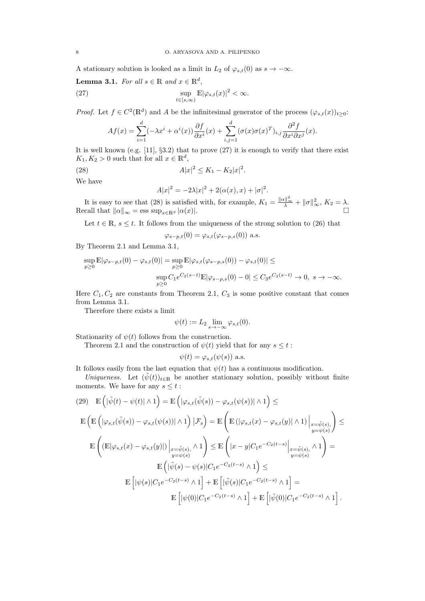A stationary solution is looked as a limit in  $L_2$  of  $\varphi_{s,t}(0)$  as  $s \to -\infty$ .

**Lemma 3.1.** For all  $s \in \mathbb{R}$  and  $x \in \mathbb{R}^d$ ,

(27) 
$$
\sup_{t \in [s,\infty)} \mathbb{E} |\varphi_{s,t}(x)|^2 < \infty.
$$

*Proof.* Let  $f \in C^2(\mathbb{R}^d)$  and A be the infinitesimal generator of the process  $(\varphi_{s,t}(x))_{t\geq 0}$ :

$$
Af(x) = \sum_{i=1}^{d} (-\lambda x^i + \alpha^i(x)) \frac{\partial f}{\partial x^i}(x) + \sum_{i,j=1}^{d} (\sigma(x)\sigma(x)^T)_{i,j} \frac{\partial^2 f}{\partial x^i \partial x^j}(x).
$$

It is well known (e.g.  $[11]$ ,  $\S 3.2$ ) that to prove  $(27)$  it is enough to verify that there exist  $K_1, K_2 > 0$  such that for all  $x \in \mathbb{R}^d$ ,

(28) 
$$
A|x|^2 \le K_1 - K_2|x|^2.
$$

We have

$$
A|x|^{2} = -2\lambda |x|^{2} + 2(\alpha(x), x) + |\sigma|^{2}.
$$

It is easy to see that (28) is satisfied with, for example,  $K_1 = \frac{\|\alpha\|_{\infty}^2}{\lambda} + \|\sigma\|_{\infty}^2$ ,  $K_2 = \lambda$ . Recall that  $||\alpha||_{\infty} = \text{ess sup}_{x \in \mathbb{R}^d} |\alpha(x)|$ .

Let  $t \in \mathbb{R}$ ,  $s \leq t$ . It follows from the uniqueness of the strong solution to (26) that

$$
\varphi_{s-p,t}(0) = \varphi_{s,t}(\varphi_{s-p,s}(0))
$$
 a.s.

By Theorem 2.1 and Lemma 3.1,

$$
\sup_{p\geq 0} \mathbb{E}|\varphi_{s-p,t}(0)-\varphi_{s,t}(0)|=\sup_{p\geq 0} \mathbb{E}|\varphi_{s,t}(\varphi_{s-p,s}(0))-\varphi_{s,t}(0)|\leq\\ \sup_{p\geq 0}C_1e^{C_2(s-t)}\mathbb{E}|\varphi_{s-p,s}(0)-0|\leq C_3e^{C_2(s-t)}\rightarrow 0,\ s\rightarrow -\infty.
$$

Here  $C_1, C_2$  are constants from Theorem 2.1,  $C_3$  is some positive constant that comes from Lemma 3.1.

Therefore there exists a limit

$$
\psi(t) := L_2 \lim_{s \to -\infty} \varphi_{s,t}(0).
$$

Stationarity of  $\psi(t)$  follows from the construction.

Theorem 2.1 and the construction of  $\psi(t)$  yield that for any  $s \leq t$ :

$$
\psi(t) = \varphi_{s,t}(\psi(s)) \text{ a.s.}
$$

It follows easily from the last equation that  $\psi(t)$  has a continuous modification.

Uniqueness. Let  $(\tilde{\psi}(t))_{t\in\mathbb{R}}$  be another stationary solution, possibly without finite moments. We have for any  $s \leq t$ :

$$
(29) \quad \mathbb{E}\left(|\tilde{\psi}(t) - \psi(t)| \wedge 1\right) = \mathbb{E}\left(|\varphi_{s,t}(\tilde{\psi}(s)) - \varphi_{s,t}(\psi(s))| \wedge 1\right) \leq
$$
\n
$$
\mathbb{E}\left(\mathbb{E}\left(|\varphi_{s,t}(\tilde{\psi}(s)) - \varphi_{s,t}(\psi(s))| \wedge 1\right)|\mathcal{F}_s\right) = \mathbb{E}\left(\mathbb{E}\left(|\varphi_{s,t}(x) - \varphi_{s,t}(y)| \wedge 1\right)\Big|_{\substack{x=\tilde{\psi}(s),\\y=\psi(s)}}\right) \leq
$$
\n
$$
\mathbb{E}\left(\left(\mathbb{E}|\varphi_{s,t}(x) - \varphi_{s,t}(y)|\right)\Big|_{\substack{x=\tilde{\psi}(s),\\y=\psi(s)}} \wedge 1\right) \leq \mathbb{E}\left(|x-y|C_1e^{-C_2(t-s)}\Big|_{\substack{x=\tilde{\psi}(s),\\y=\psi(s)}} \wedge 1\right) =
$$
\n
$$
\mathbb{E}\left[\left|\psi(s)|C_1e^{-C_2(t-s)} \wedge 1\right] + \mathbb{E}\left[\left|\tilde{\psi}(s)|C_1e^{-C_2(t-s)} \wedge 1\right]\right) =
$$
\n
$$
\mathbb{E}\left[\left|\psi(0)|C_1e^{-C_2(t-s)} \wedge 1\right] + \mathbb{E}\left[\left|\tilde{\psi}(0)|C_1e^{-C_2(t-s)} \wedge 1\right]\right].
$$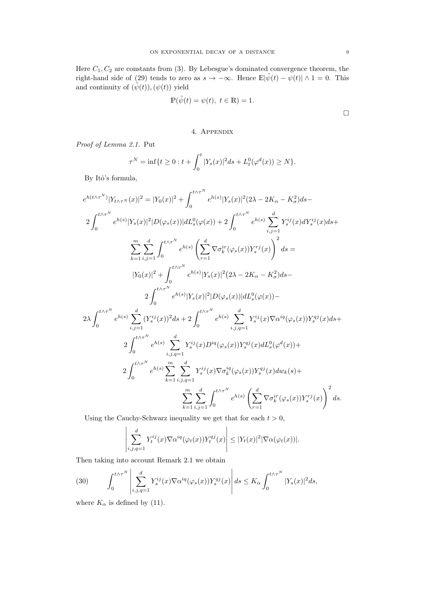Here  $C_1, C_2$  are constants from (3). By Lebesgue's dominated convergence theorem, the right-hand side of (29) tends to zero as  $s \to -\infty$ . Hence  $\mathbb{E}|\tilde{\psi}(t) - \psi(t)| \wedge 1 = 0$ . This and continuity of  $(\tilde{\psi}(t)),(\psi(t))$  yield

$$
\mathbb{P}(\tilde{\psi}(t) = \psi(t), \ t \in \mathbb{R}) = 1.
$$

# 4. Appendix

Proof of Lemma 2.1. Put

$$
\tau^N = \inf\{t \ge 0 : t + \int_0^t |Y_s(x)|^2 ds + L_t^0(\varphi^d(x)) \ge N\}.
$$

By Itô's formula,

$$
\begin{split} e^{h(t\wedge\tau^{N})}|Y_{t\wedge\tau^{N}}(x)|^{2} & = |Y_{0}(x)|^{2}+\int_{0}^{t\wedge\tau^{N}}e^{h(s)}|Y_{s}(x)|^{2}(2\lambda-2K_{\alpha}-K_{\sigma}^{2})ds-\\ & 2\int_{0}^{t\wedge\tau^{N}}e^{h(s)}|Y_{s}(x)|^{2}|D(\varphi_{s}(x))|dL_{s}^{0}(\varphi(x))+2\int_{0}^{t\wedge\tau^{N}}e^{h(s)}\sum_{i,j=1}^{d}Y_{s}^{ij}(x)dY_{s}^{ij}(x)ds+\\ & \sum_{k=1}^{m}\sum_{i,j=1}^{d}\int_{0}^{t\wedge\tau^{N}}e^{h(s)}\left(\sum_{r=1}^{d}\nabla\sigma_{k}^{ir}(\varphi_{s}(x))Y_{s}^{rj}(x)\right)^{2}ds=\\ & |Y_{0}(x)|^{2}+\int_{0}^{t\wedge\tau^{N}}e^{h(s)}|Y_{s}(x)|^{2}(2\lambda-2K_{\alpha}-K_{\sigma}^{2})ds-\\ & 2\int_{0}^{t\wedge\tau^{N}}e^{h(s)}\sum_{i,j=1}^{d}(Y_{s}^{ij}(x))^{2}ds+2\int_{0}^{t\wedge\tau^{N}}e^{h(s)}\sum_{i,j,q=1}^{d}Y_{s}^{ij}(x)\nabla\alpha^{iq}(\varphi_{s}(x))Y_{s}^{qj}(x)ds+\\ & 2\int_{0}^{t\wedge\tau^{N}}e^{h(s)}\sum_{i,j,q=1}^{d}Y_{s}^{ij}(x)D^{iq}(\varphi_{s}(x))Y_{s}^{qj}(x)dL_{s}^{0}(\varphi^{d}(x))+\\ & 2\int_{0}^{t\wedge\tau^{N}}e^{h(s)}\sum_{k=1}^{m}\sum_{i,j,q=1}^{d}Y_{s}^{ij}(x)\nabla\sigma_{k}^{iq}(\varphi_{s}(x))Y_{s}^{qj}(x)dw_{k}(s)+\\ & \sum_{k=1}^{m}\sum_{i,j=1}^{d}\int_{0}^{t\wedge\tau^{N}}e^{h(s)}\left(\sum_{r=1}^{d}\nabla\sigma_{k}^{ir}(\varphi_{s}(x))Y_{s}^{rj}(x)\right)^{2}ds. \end{split}
$$

Using the Cauchy-Schwarz inequality we get that for each  $t > 0$ ,

$$
\left| \sum_{i,j,q=1}^d Y_t^{ij}(x) \nabla \alpha^{iq} (\varphi_t(x)) Y_t^{qj}(x) \right| \leq |Y_t(x)|^2 |\nabla \alpha(\varphi_t(x))|.
$$

Then taking into account Remark 2.1 we obtain

(30) 
$$
\int_0^{t \wedge \tau^N} \left| \sum_{i,j,q=1}^d Y_s^{ij}(x) \nabla \alpha^{iq} (\varphi_s(x)) Y_s^{qj}(x) \right| ds \leq K_\alpha \int_0^{t \wedge \tau^N} |Y_s(x)|^2 ds,
$$

where  $K_{\alpha}$  is defined by (11).

 $\Box$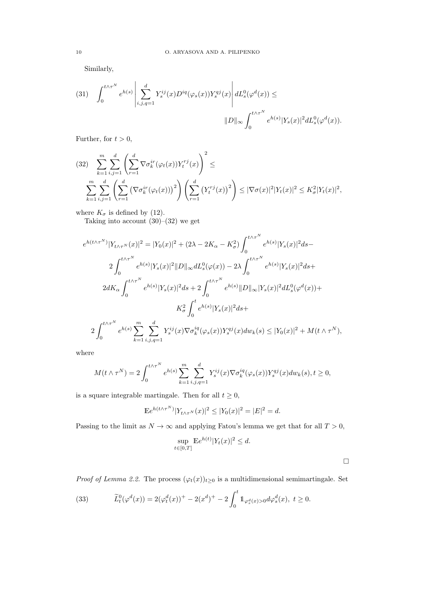Similarly,

$$
(31) \quad \int_0^{t\wedge\tau^N} e^{h(s)}\left|\sum_{i,j,q=1}^d Y^{ij}_s(x)D^{iq}(\varphi_s(x))Y^{qj}_s(x)\right|dL_s^0(\varphi^d(x)) \le
$$

$$
||D||_{\infty} \int_0^{t\wedge\tau^N} e^{h(s)}|Y_s(x)|^2dL_s^0(\varphi^d(x)).
$$

Further, for  $t > 0$ ,

$$
(32) \sum_{k=1}^{m} \sum_{i,j=1}^{d} \left( \sum_{r=1}^{d} \nabla \sigma_k^{ir} (\varphi_t(x)) Y_t^{rj}(x) \right)^2 \le
$$
  

$$
\sum_{k=1}^{m} \sum_{i,j=1}^{d} \left( \sum_{r=1}^{d} \left( \nabla \sigma_k^{ir} (\varphi_t(x)) \right)^2 \right) \left( \sum_{r=1}^{d} \left( Y_t^{rj}(x) \right)^2 \right) \leq |\nabla \sigma(x)|^2 |Y_t(x)|^2 \leq K_{\sigma}^2 |Y_t(x)|^2,
$$

where  $K_{\sigma}$  is defined by (12).

Taking into account  $(30)$ – $(32)$  we get

$$
e^{h(t\wedge\tau^{N})}|Y_{t\wedge\tau^{N}}(x)|^{2} = |Y_{0}(x)|^{2} + (2\lambda - 2K_{\alpha} - K_{\sigma}^{2}) \int_{0}^{t\wedge\tau^{N}} e^{h(s)} |Y_{s}(x)|^{2} ds - 2\int_{0}^{t\wedge\tau^{N}} e^{h(s)} |Y_{s}(x)|^{2} ||D||_{\infty} dL_{s}^{0}(\varphi(x)) - 2\lambda \int_{0}^{t\wedge\tau^{N}} e^{h(s)} |Y_{s}(x)|^{2} ds + 2dK_{\alpha} \int_{0}^{t\wedge\tau^{N}} e^{h(s)} |Y_{s}(x)|^{2} ds + 2\int_{0}^{t\wedge\tau^{N}} e^{h(s)} ||D||_{\infty} |Y_{s}(x)|^{2} dL_{s}^{0}(\varphi^{d}(x)) + K_{\sigma}^{2} \int_{0}^{t} e^{h(s)} |Y_{s}(x)|^{2} ds + 2\int_{0}^{t\wedge\tau^{N}} e^{h(s)} \sum_{k=1}^{m} \sum_{i,j,q=1}^{d} Y_{s}^{ij}(x) \nabla \sigma_{k}^{iq}(\varphi_{s}(x)) Y_{s}^{qj}(x) dw_{k}(s) \leq |Y_{0}(x)|^{2} + M(t\wedge\tau^{N}),
$$

where

$$
M(t \wedge \tau^N) = 2 \int_0^{t \wedge \tau^N} e^{h(s)} \sum_{k=1}^m \sum_{i,j,q=1}^d Y_s^{ij}(x) \nabla \sigma_k^{iq}(\varphi_s(x)) Y_s^{qj}(x) dw_k(s), t \ge 0,
$$

is a square integrable martingale. Then for all  $t\geq 0,$ 

$$
\mathbb{E}e^{h(t\wedge \tau^N)}|Y_{t\wedge \tau^N}(x)|^2 \leq |Y_0(x)|^2 = |E|^2 = d.
$$

Passing to the limit as  $N \to \infty$  and applying Fatou's lemma we get that for all  $T > 0$ ,

$$
\sup_{t \in [0,T]} \mathbb{E}e^{h(t)} |Y_t(x)|^2 \le d.
$$

*Proof of Lemma 2.2.* The process  $(\varphi_t(x))_{t\geq 0}$  is a multidimensional semimartingale. Set

(33) 
$$
\widetilde{L}_t^0(\varphi^d(x)) = 2(\varphi_t^d(x))^+ - 2(x^d)^+ - 2\int_0^t 1_{\varphi_s^d(x) > 0} d\varphi_s^d(x), \ t \ge 0.
$$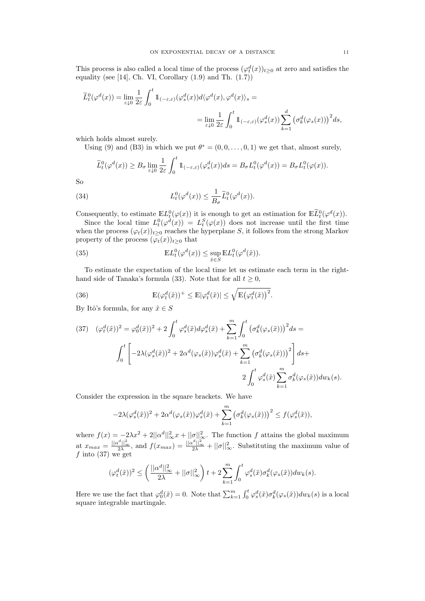This process is also called a local time of the process  $(\varphi_t^d(x))_{t\geq 0}$  at zero and satisfies the equality (see [14], Ch. VI, Corollary  $(1.9)$  and Th.  $(1.7)$ )

$$
\begin{split} \widetilde{L}^0_t(\varphi^d(x))&=\lim_{\varepsilon\downarrow 0}\frac{1}{2\varepsilon}\int_0^t1\!\!1_{(-\varepsilon,\varepsilon)}(\varphi^d_s(x))d\langle\varphi^d(x),\varphi^d(x)\rangle_s=\\ &=\lim_{\varepsilon\downarrow 0}\frac{1}{2\varepsilon}\int_0^t1\!\!1_{(-\varepsilon,\varepsilon)}(\varphi^d_s(x))\sum_{k=1}^d\big(\sigma^d_k(\varphi_s(x))\big)^2ds,\end{split}
$$

which holds almost surely.

Using (9) and (B3) in which we put  $\theta^* = (0, 0, \ldots, 0, 1)$  we get that, almost surely,

$$
\widetilde{L}_t^0(\varphi^d(x)) \ge B_\sigma \lim_{\varepsilon \downarrow 0} \frac{1}{2\varepsilon} \int_0^t \mathbb{1}_{(-\varepsilon,\varepsilon)}(\varphi^d_s(x))ds = B_\sigma L_t^0(\varphi^d(x)) = B_\sigma L_t^0(\varphi(x)).
$$

So

(34) 
$$
L_t^0(\varphi^d(x)) \leq \frac{1}{B_\sigma} \tilde{L}_t^0(\varphi^d(x)).
$$

Consequently, to estimate  $\mathbb{E}L^0(\varphi(x))$  it is enough to get an estimation for  $\mathbb{E}L^0_t(\varphi^d(x))$ .

Since the local time  $L_t^0(\varphi^d(x)) = L_t^S(\varphi(x))$  does not increase until the first time when the process  $(\varphi_t(x))_{t>0}$  reaches the hyperplane S, it follows from the strong Markov property of the process  $(\varphi_t(x))_{t\geq 0}$  that

(35) 
$$
\mathbb{E}L_t^0(\varphi^d(x)) \leq \sup_{\tilde{x}\in S} \mathbb{E}L_t^0(\varphi^d(\tilde{x})).
$$

To estimate the expectation of the local time let us estimate each term in the righthand side of Tanaka's formula (33). Note that for all  $t \geq 0$ ,

(36) 
$$
\mathbb{E}(\varphi_t^d(\tilde{x}))^+ \leq \mathbb{E}|\varphi_t^d(\tilde{x})| \leq \sqrt{\mathbb{E}(\varphi_t^d(\tilde{x}))^2}.
$$

By Itô's formula, for any  $\tilde{x} \in S$ 

$$
(37) \quad (\varphi_t^d(\tilde{x}))^2 = \varphi_0^d(\tilde{x}))^2 + 2 \int_0^t \varphi_s^d(\tilde{x}) d\varphi_s^d(\tilde{x}) + \sum_{k=1}^m \int_0^t \left(\sigma_k^d(\varphi_s(\tilde{x})))^2 ds =
$$

$$
\int_0^t \left[ -2\lambda(\varphi_s^d(\tilde{x}))^2 + 2\alpha^d(\varphi_s(\tilde{x}))\varphi_s^d(\tilde{x}) + \sum_{k=1}^m \left(\sigma_k^d(\varphi_s(\tilde{x})))^2 \right] ds +
$$

$$
2 \int_0^t \varphi_s^d(\tilde{x}) \sum_{k=1}^m \sigma_k^d(\varphi_s(\tilde{x})) dw_k(s).
$$

Consider the expression in the square brackets. We have

$$
-2\lambda(\varphi_s^d(\tilde{x}))^2 + 2\alpha^d(\varphi_s(\tilde{x}))\varphi_s^d(\tilde{x}) + \sum_{k=1}^m \left(\sigma_k^d(\varphi_s(\tilde{x}))\right)^2 \le f(\varphi_s^d(\tilde{x})),
$$

where  $f(x) = -2\lambda x^2 + 2||\alpha^d||_{\infty}^2 x + ||\sigma||_{\infty}^2$ . The function f attains the global maximum at  $x_{max} = \frac{\|\alpha^d\|_{\infty}^2}{2\lambda}$ , and  $f(x_{max}) = \frac{\|\alpha^d\|_{\infty}^2}{2\lambda} + ||\sigma||_{\infty}^2$ . Substituting the maximum value of f into  $(37)$  we get

$$
(\varphi_t^d(\tilde{x}))^2 \le \left(\frac{||\alpha^d||_\infty^2}{2\lambda} + ||\sigma||_\infty^2\right)t + 2\sum_{k=1}^m \int_0^t \varphi_s^d(\tilde{x})\sigma_k^d(\varphi_s(\tilde{x}))dw_k(s).
$$

Here we use the fact that  $\varphi_0^d(\tilde{x}) = 0$ . Note that  $\sum_{k=1}^m \int_0^t \varphi_s^d(\tilde{x}) \sigma_k^d(\varphi_s(\tilde{x})) dw_k(s)$  is a local square integrable martingale.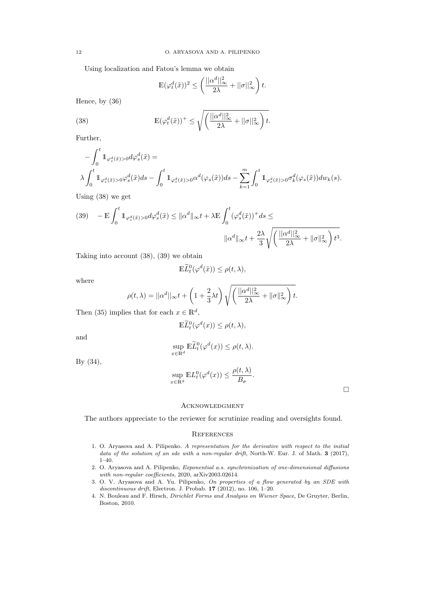Using localization and Fatou's lemma we obtain

$$
\mathbb{E}(\varphi_t^d(\tilde{x}))^2 \le \left(\frac{||\alpha^d||_\infty^2}{2\lambda} + ||\sigma||_\infty^2\right)t.
$$

Hence, by (36)

(38) 
$$
\mathbb{E}(\varphi_t^d(\tilde{x}))^+ \leq \sqrt{\left(\frac{||\alpha^d||_{\infty}^2}{2\lambda} + ||\sigma||_{\infty}^2\right)t}.
$$

Further,

$$
-\int_0^t \mathbb{1}_{\varphi_s^d(\tilde{x})>0} d\varphi_s^d(\tilde{x}) =
$$
  

$$
\lambda \int_0^t \mathbb{1}_{\varphi_s^d(\tilde{x})>0} \varphi_s^d(\tilde{x}) ds - \int_0^t \mathbb{1}_{\varphi_s^d(\tilde{x})>0} \alpha^d(\varphi_s(\tilde{x})) ds - \sum_{k=1}^m \int_0^t \mathbb{1}_{\varphi_s^d(\tilde{x})>0} \sigma_k^d(\varphi_s(\tilde{x})) dw_k(s).
$$

Using (38) we get

$$
(39) \quad -\mathbb{E}\int_0^t \mathbb{1}_{\varphi_s^d(\tilde{x})>0}d\varphi_s^d(\tilde{x}) \leq \|\alpha^d\|_{\infty}t + \lambda \mathbb{E}\int_0^t (\varphi_s^d(\tilde{x}))^+ds \leq
$$

$$
\|\alpha^d\|_{\infty}t + \frac{2\lambda}{3}\sqrt{\left(\frac{||\alpha^d||_{\infty}^2}{2\lambda} + \|\sigma\|_{\infty}^2\right)t^3}.
$$

Taking into account (38), (39) we obtain

$$
\mathbb{E}\widetilde{L}^0_t(\varphi^d(\tilde{x})) \leq \rho(t,\lambda),
$$

where

$$
\rho(t,\lambda) = ||\alpha^d||_{\infty} t + \left(1 + \frac{2}{3}\lambda t\right) \sqrt{\left(\frac{||\alpha^d||_{\infty}^2}{2\lambda} + ||\sigma||_{\infty}^2\right)t}.
$$

Then (35) implies that for each  $x \in \mathbb{R}^d$ ,

$$
\mathbb{E}\widetilde{L}_t^0(\varphi^d(x)) \le \rho(t,\lambda),
$$

and

$$
\sup_{x \in \mathbb{R}^d} \mathbb{E} \widetilde{L}_t^0(\varphi^d(x)) \le \rho(t, \lambda).
$$

By (34),

$$
\sup_{x \in \mathbb{R}^d} \mathbb{E} L_t^0(\varphi^d(x)) \le \frac{\rho(t, \lambda)}{B_\sigma}.
$$

 $\Box$ 

# **ACKNOWLEDGMENT**

The authors appreciate to the reviewer for scrutinize reading and oversights found.

### **REFERENCES**

- 1. O. Aryasova and A. Pilipenko. A representation for the derivative with respect to the initial data of the solution of an sde with a non-regular drift, North-W. Eur. J. of Math. 3 (2017), 1–40.
- 2. O. Aryasova and A. Pilipenko, Exponential a.s. synchronization of one-dimensional diffusions with non-regular coefficients, 2020, arXiv2003.02614.
- 3. O. V. Aryasova and A. Yu. Pilipenko, On properties of a flow generated by an SDE with discontinuous drift, Electron. J. Probab. 17 (2012), no. 106, 1–20.
- 4. N. Bouleau and F. Hirsch, Dirichlet Forms and Analysis on Wiener Space, De Gruyter, Berlin, Boston, 2010.